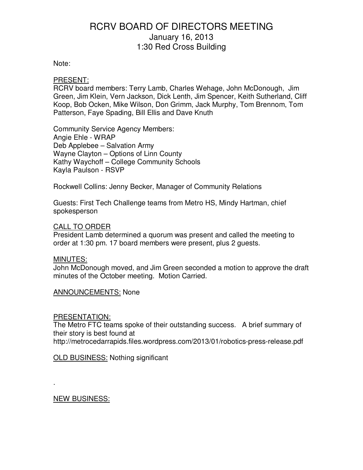# Note:

# PRESENT:

RCRV board members: Terry Lamb, Charles Wehage, John McDonough, Jim Green, Jim Klein, Vern Jackson, Dick Lenth, Jim Spencer, Keith Sutherland, Cliff Koop, Bob Ocken, Mike Wilson, Don Grimm, Jack Murphy, Tom Brennom, Tom Patterson, Faye Spading, Bill Ellis and Dave Knuth

Community Service Agency Members: Angie Ehle - WRAP Deb Applebee – Salvation Army Wayne Clayton – Options of Linn County Kathy Waychoff – College Community Schools Kayla Paulson - RSVP

Rockwell Collins: Jenny Becker, Manager of Community Relations

Guests: First Tech Challenge teams from Metro HS, Mindy Hartman, chief spokesperson

### CALL TO ORDER

President Lamb determined a quorum was present and called the meeting to order at 1:30 pm. 17 board members were present, plus 2 guests.

### MINUTES:

John McDonough moved, and Jim Green seconded a motion to approve the draft minutes of the October meeting. Motion Carried.

ANNOUNCEMENTS: None

### PRESENTATION:

The Metro FTC teams spoke of their outstanding success. A brief summary of their story is best found at

http://metrocedarrapids.files.wordpress.com/2013/01/robotics-press-release.pdf

OLD BUSINESS: Nothing significant

NEW BUSINESS:

.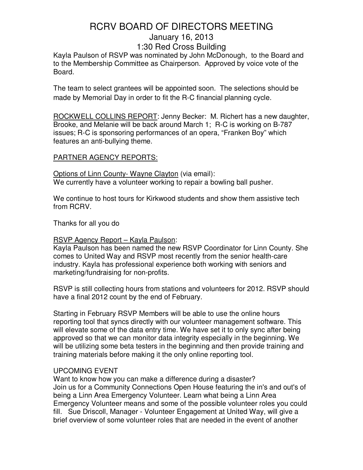Kayla Paulson of RSVP was nominated by John McDonough, to the Board and to the Membership Committee as Chairperson. Approved by voice vote of the Board.

The team to select grantees will be appointed soon. The selections should be made by Memorial Day in order to fit the R-C financial planning cycle.

ROCKWELL COLLINS REPORT: Jenny Becker: M. Richert has a new daughter, Brooke, and Melanie will be back around March 1; R-C is working on B-787 issues; R-C is sponsoring performances of an opera, "Franken Boy" which features an anti-bullying theme.

# PARTNER AGENCY REPORTS:

Options of Linn County- Wayne Clayton (via email): We currently have a volunteer working to repair a bowling ball pusher.

We continue to host tours for Kirkwood students and show them assistive tech from RCRV.

Thanks for all you do

# RSVP Agency Report – Kayla Paulson:

Kayla Paulson has been named the new RSVP Coordinator for Linn County. She comes to United Way and RSVP most recently from the senior health-care industry. Kayla has professional experience both working with seniors and marketing/fundraising for non-profits.

RSVP is still collecting hours from stations and volunteers for 2012. RSVP should have a final 2012 count by the end of February.

Starting in February RSVP Members will be able to use the online hours reporting tool that syncs directly with our volunteer management software. This will elevate some of the data entry time. We have set it to only sync after being approved so that we can monitor data integrity especially in the beginning. We will be utilizing some beta testers in the beginning and then provide training and training materials before making it the only online reporting tool.

# UPCOMING EVENT

Want to know how you can make a difference during a disaster? Join us for a Community Connections Open House featuring the in's and out's of being a Linn Area Emergency Volunteer. Learn what being a Linn Area Emergency Volunteer means and some of the possible volunteer roles you could fill. Sue Driscoll, Manager - Volunteer Engagement at United Way, will give a brief overview of some volunteer roles that are needed in the event of another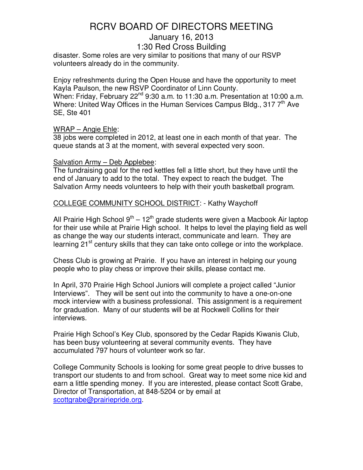disaster. Some roles are very similar to positions that many of our RSVP volunteers already do in the community.

Enjoy refreshments during the Open House and have the opportunity to meet Kayla Paulson, the new RSVP Coordinator of Linn County.

When: Friday, February  $22^{nd}$  9:30 a.m. to 11:30 a.m. Presentation at 10:00 a.m. Where: United Way Offices in the Human Services Campus Bldg., 317  $7<sup>th</sup>$  Ave SE, Ste 401

# WRAP – Angie Ehle:

38 jobs were completed in 2012, at least one in each month of that year. The queue stands at 3 at the moment, with several expected very soon.

# Salvation Army – Deb Applebee:

The fundraising goal for the red kettles fell a little short, but they have until the end of January to add to the total. They expect to reach the budget. The Salvation Army needs volunteers to help with their youth basketball program.

# COLLEGE COMMUNITY SCHOOL DISTRICT: - Kathy Waychoff

All Prairie High School 9<sup>th</sup> – 12<sup>th</sup> grade students were given a Macbook Air laptop for their use while at Prairie High school. It helps to level the playing field as well as change the way our students interact, communicate and learn. They are learning 21<sup>st</sup> century skills that they can take onto college or into the workplace.

Chess Club is growing at Prairie. If you have an interest in helping our young people who to play chess or improve their skills, please contact me.

In April, 370 Prairie High School Juniors will complete a project called "Junior Interviews". They will be sent out into the community to have a one-on-one mock interview with a business professional. This assignment is a requirement for graduation. Many of our students will be at Rockwell Collins for their interviews.

Prairie High School's Key Club, sponsored by the Cedar Rapids Kiwanis Club, has been busy volunteering at several community events. They have accumulated 797 hours of volunteer work so far.

College Community Schools is looking for some great people to drive busses to transport our students to and from school. Great way to meet some nice kid and earn a little spending money. If you are interested, please contact Scott Grabe, Director of Transportation, at 848-5204 or by email at scottgrabe@prairiepride.org.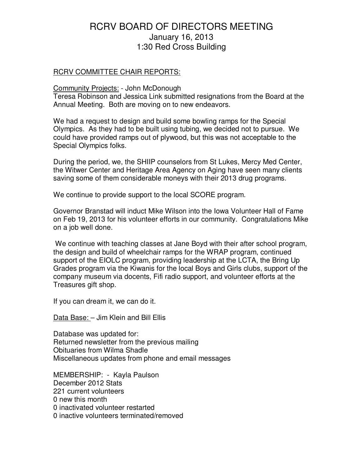### RCRV COMMITTEE CHAIR REPORTS:

# Community Projects: - John McDonough

Teresa Robinson and Jessica Link submitted resignations from the Board at the Annual Meeting. Both are moving on to new endeavors.

We had a request to design and build some bowling ramps for the Special Olympics. As they had to be built using tubing, we decided not to pursue. We could have provided ramps out of plywood, but this was not acceptable to the Special Olympics folks.

During the period, we, the SHIIP counselors from St Lukes, Mercy Med Center, the Witwer Center and Heritage Area Agency on Aging have seen many clients saving some of them considerable moneys with their 2013 drug programs.

We continue to provide support to the local SCORE program.

Governor Branstad will induct Mike Wilson into the Iowa Volunteer Hall of Fame on Feb 19, 2013 for his volunteer efforts in our community. Congratulations Mike on a job well done.

 We continue with teaching classes at Jane Boyd with their after school program, the design and build of wheelchair ramps for the WRAP program, continued support of the EIOLC program, providing leadership at the LCTA, the Bring Up Grades program via the Kiwanis for the local Boys and Girls clubs, support of the company museum via docents, Fifi radio support, and volunteer efforts at the Treasures gift shop.

If you can dream it, we can do it.

Data Base: - Jim Klein and Bill Ellis

Database was updated for: Returned newsletter from the previous mailing Obituaries from Wilma Shadle Miscellaneous updates from phone and email messages

MEMBERSHIP: - Kayla Paulson December 2012 Stats 221 current volunteers 0 new this month 0 inactivated volunteer restarted 0 inactive volunteers terminated/removed